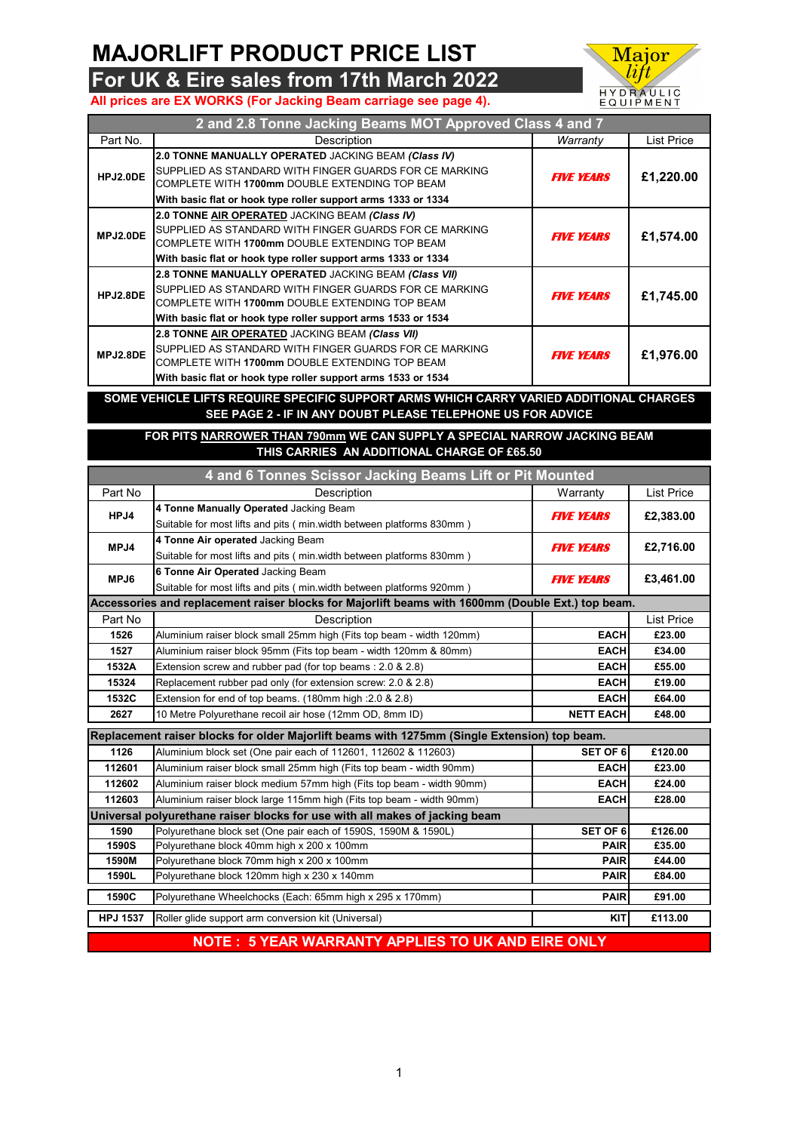## **MAJORLIFT PRODUCT PRICE LIST**

**For UK & Eire sales from 17th March 2022**





| 2 and 2.8 Tonne Jacking Beams MOT Approved Class 4 and 7                       |                                                                                                                                                                                                                                   |                   |            |
|--------------------------------------------------------------------------------|-----------------------------------------------------------------------------------------------------------------------------------------------------------------------------------------------------------------------------------|-------------------|------------|
| Part No.                                                                       | Description                                                                                                                                                                                                                       | Warranty          | List Price |
| HPJ2.0DE                                                                       | 2.0 TONNE MANUALLY OPERATED JACKING BEAM (Class IV)<br>SUPPLIED AS STANDARD WITH FINGER GUARDS FOR CE MARKING<br>COMPLETE WITH 1700mm DOUBLE EXTENDING TOP BEAM<br>With basic flat or hook type roller support arms 1333 or 1334  | <b>FIVE YEARS</b> | £1,220.00  |
| MPJ2.0DE                                                                       | 2.0 TONNE AIR OPERATED JACKING BEAM (Class IV)<br>SUPPLIED AS STANDARD WITH FINGER GUARDS FOR CE MARKING<br>COMPLETE WITH 1700mm DOUBLE EXTENDING TOP BEAM<br>With basic flat or hook type roller support arms 1333 or 1334       | <b>FIVE YEARS</b> | £1,574.00  |
| HPJ2.8DE                                                                       | 2.8 TONNE MANUALLY OPERATED JACKING BEAM (Class VII)<br>SUPPLIED AS STANDARD WITH FINGER GUARDS FOR CE MARKING<br>COMPLETE WITH 1700mm DOUBLE EXTENDING TOP BEAM<br>With basic flat or hook type roller support arms 1533 or 1534 | <b>FIVE YEARS</b> | £1,745.00  |
| MPJ2.8DE                                                                       | 2.8 TONNE AIR OPERATED JACKING BEAM (Class VII)<br>SUPPLIED AS STANDARD WITH FINGER GUARDS FOR CE MARKING<br>COMPLETE WITH 1700mm DOUBLE EXTENDING TOP BEAM<br>With basic flat or hook type roller support arms 1533 or 1534      | <b>FIVE YEARS</b> | £1,976.00  |
| <b>IFTS DEALINE SPESIFIC SUPPORT ADMS WILLS</b><br>VADIED ADDITIONAL<br>COME 1 |                                                                                                                                                                                                                                   |                   |            |

## **SOME VEHICLE LIFTS REQUIRE SPECIFIC SUPPORT ARMS WHICH CARRY VARIED ADDITIONAL CHARGES SEE PAGE 2 - IF IN ANY DOUBT PLEASE TELEPHONE US FOR ADVICE**

**THIS CARRIES AN ADDITIONAL CHARGE OF £65.50 FOR PITS NARROWER THAN 790mm WE CAN SUPPLY A SPECIAL NARROW JACKING BEAM**

| 4 and 6 Tonnes Scissor Jacking Beams Lift or Pit Mounted                                     |                                                                                                   |                   |                   |
|----------------------------------------------------------------------------------------------|---------------------------------------------------------------------------------------------------|-------------------|-------------------|
| Part No                                                                                      | Description                                                                                       | Warranty          | <b>List Price</b> |
| HPJ4                                                                                         | 4 Tonne Manually Operated Jacking Beam                                                            | <b>FIVE YEARS</b> | £2,383.00         |
|                                                                                              | Suitable for most lifts and pits (min.width between platforms 830mm)                              |                   |                   |
| MPJ4                                                                                         | 4 Tonne Air operated Jacking Beam                                                                 | <b>FIVE YEARS</b> | £2,716.00         |
|                                                                                              | Suitable for most lifts and pits (min.width between platforms 830mm)                              |                   |                   |
| MPJ6                                                                                         | 6 Tonne Air Operated Jacking Beam                                                                 | <b>FIVE YEARS</b> | £3,461.00         |
|                                                                                              | Suitable for most lifts and pits (min.width between platforms 920mm)                              |                   |                   |
|                                                                                              | Accessories and replacement raiser blocks for Majorlift beams with 1600mm (Double Ext.) top beam. |                   |                   |
| Part No                                                                                      | Description                                                                                       |                   | <b>List Price</b> |
| 1526                                                                                         | Aluminium raiser block small 25mm high (Fits top beam - width 120mm)                              | <b>EACH</b>       | £23.00            |
| 1527                                                                                         | Aluminium raiser block 95mm (Fits top beam - width 120mm & 80mm)                                  | <b>EACH</b>       | £34.00            |
| 1532A                                                                                        | Extension screw and rubber pad (for top beams: 2.0 & 2.8)                                         | <b>EACH</b>       | £55.00            |
| 15324                                                                                        | Replacement rubber pad only (for extension screw: 2.0 & 2.8)                                      | <b>EACH</b>       | £19.00            |
| 1532C                                                                                        | Extension for end of top beams. (180mm high : 2.0 & 2.8)                                          | <b>EACH</b>       | £64.00            |
| 2627                                                                                         | 10 Metre Polyurethane recoil air hose (12mm OD, 8mm ID)                                           | <b>NETT EACH</b>  | £48.00            |
| Replacement raiser blocks for older Majorlift beams with 1275mm (Single Extension) top beam. |                                                                                                   |                   |                   |
| 1126                                                                                         | Aluminium block set (One pair each of 112601, 112602 & 112603)                                    | <b>SET OF 6</b>   | £120.00           |
| 112601                                                                                       | Aluminium raiser block small 25mm high (Fits top beam - width 90mm)                               | <b>EACH</b>       | £23.00            |
| 112602                                                                                       | Aluminium raiser block medium 57mm high (Fits top beam - width 90mm)                              | <b>EACH</b>       | £24.00            |
| 112603                                                                                       | Aluminium raiser block large 115mm high (Fits top beam - width 90mm)                              | <b>EACH</b>       | £28.00            |
|                                                                                              | Universal polyurethane raiser blocks for use with all makes of jacking beam                       |                   |                   |
| 1590                                                                                         | Polyurethane block set (One pair each of 1590S, 1590M & 1590L)                                    | <b>SET OF 6</b>   | £126.00           |
| <b>1590S</b>                                                                                 | Polyurethane block 40mm high x 200 x 100mm                                                        | <b>PAIR</b>       | £35.00            |
| 1590M                                                                                        | Polyurethane block 70mm high x 200 x 100mm                                                        | <b>PAIR</b>       | £44.00            |
| 1590L                                                                                        | Polyurethane block 120mm high x 230 x 140mm                                                       | <b>PAIR</b>       | £84.00            |
| 1590C                                                                                        | Polyurethane Wheelchocks (Each: 65mm high x 295 x 170mm)                                          | <b>PAIR</b>       | £91.00            |
| <b>HPJ 1537</b>                                                                              | Roller glide support arm conversion kit (Universal)                                               | <b>KIT</b>        | £113.00           |
| <b>NOTE: 5 YEAR WARRANTY APPLIES TO UK AND EIRE ONLY</b>                                     |                                                                                                   |                   |                   |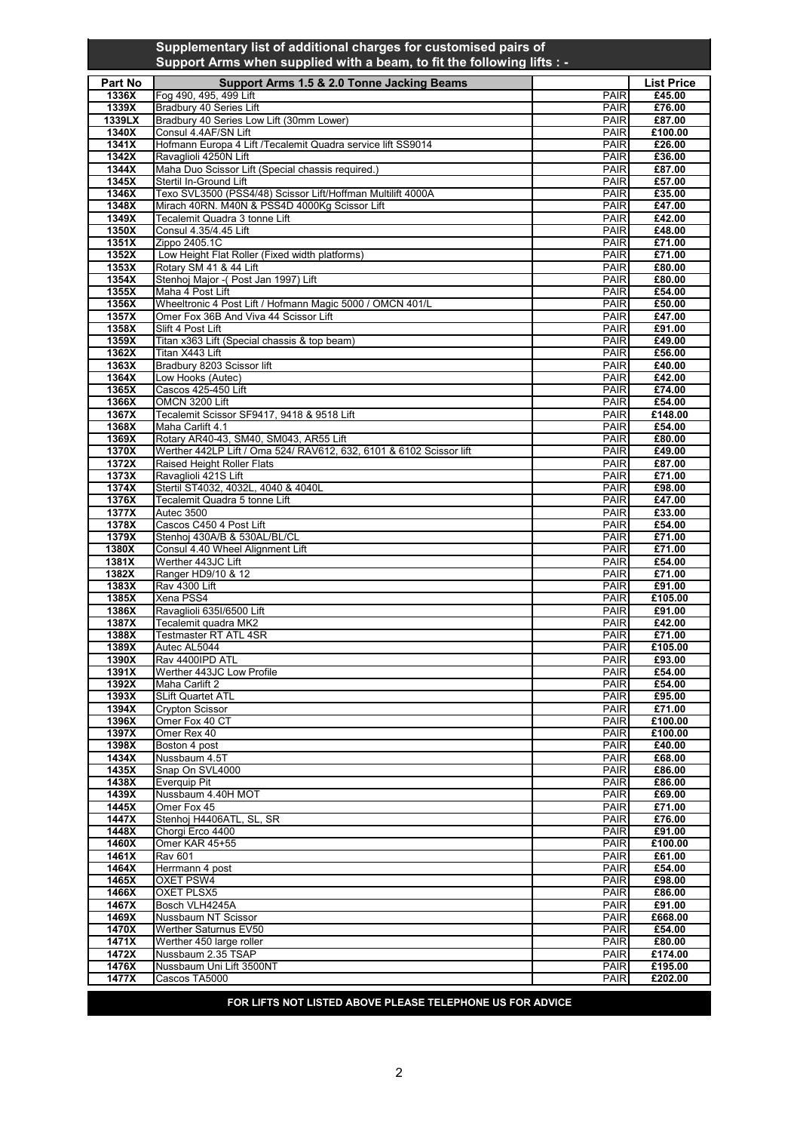## **Supplementary list of additional charges for customised pairs of Support Arms when supplied with a beam, to fit the following lifts : -**

| Part No         | Support Arms 1.5 & 2.0 Tonne Jacking Beams                                                                    |                            | <b>List Price</b> |
|-----------------|---------------------------------------------------------------------------------------------------------------|----------------------------|-------------------|
| 1336X           | Fog 490, 495, 499 Lift                                                                                        | <b>PAIR</b>                | £45.00            |
| 1339X<br>1339LX | Bradbury 40 Series Lift<br>Bradbury 40 Series Low Lift (30mm Lower)                                           | <b>PAIR</b><br><b>PAIR</b> | £76.00<br>£87.00  |
| 1340X           | Consul 4.4AF/SN Lift                                                                                          | <b>PAIR</b>                | £100.00           |
| 1341X           | Hofmann Europa 4 Lift /Tecalemit Quadra service lift SS9014                                                   | PAIR                       | £26.00            |
| 1342X           | Ravaglioli 4250N Lift                                                                                         | <b>PAIR</b>                | £36.00            |
| 1344X<br>1345X  | Maha Duo Scissor Lift (Special chassis required.)<br>Stertil In-Ground Lift                                   | <b>PAIR</b><br><b>PAIR</b> | £87.00<br>£57.00  |
| 1346X           | Texo SVL3500 (PSS4/48) Scissor Lift/Hoffman Multilift 4000A                                                   | <b>PAIR</b>                | £35.00            |
| 1348X           | Mirach 40RN. M40N & PSS4D 4000Kg Scissor Lift                                                                 | <b>PAIR</b>                | £47.00            |
| 1349X           | Tecalemit Quadra 3 tonne Lift                                                                                 | <b>PAIR</b>                | £42.00            |
| 1350X           | Consul 4.35/4.45 Lift                                                                                         | <b>PAIR</b>                | £48.00            |
| 1351X<br>1352X  | Zippo 2405.1C<br>Low Height Flat Roller (Fixed width platforms)                                               | <b>PAIR</b><br><b>PAIR</b> | £71.00<br>£71.00  |
| 1353X           | Rotary SM 41 & 44 Lift                                                                                        | <b>PAIR</b>                | £80.00            |
| 1354X           | Stenhoj Major - (Post Jan 1997) Lift                                                                          | <b>PAIR</b>                | £80.00            |
| 1355X           | Maha 4 Post Lift                                                                                              | <b>PAIR</b>                | £54.00            |
| 1356X<br>1357X  | Wheeltronic 4 Post Lift / Hofmann Magic 5000 / OMCN 401/L<br>Omer Fox 36B And Viva 44 Scissor Lift            | <b>PAIR</b><br><b>PAIR</b> | £50.00<br>£47.00  |
| 1358X           | Slift 4 Post Lift                                                                                             | <b>PAIR</b>                | £91.00            |
| 1359X           | Titan x363 Lift (Special chassis & top beam)                                                                  | <b>PAIR</b>                | £49.00            |
| 1362X           | Titan X443 Lift                                                                                               | PAIR                       | £56.00            |
| 1363X<br>1364X  | Bradbury 8203 Scissor lift<br>Low Hooks (Autec)                                                               | <b>PAIR</b><br><b>PAIR</b> | £40.00<br>£42.00  |
| 1365X           | Cascos 425-450 Lift                                                                                           | <b>PAIR</b>                | £74.00            |
| 1366X           | OMCN 3200 Lift                                                                                                | <b>PAIR</b>                | £54.00            |
| 1367X           | Tecalemit Scissor SF9417, 9418 & 9518 Lift                                                                    | <b>PAIR</b>                | £148.00           |
| 1368X           | Maha Carlift 4.1                                                                                              | <b>PAIR</b>                | £54.00            |
| 1369X<br>1370X  | Rotary AR40-43, SM40, SM043, AR55 Lift<br>Werther 442LP Lift / Oma 524/ RAV612, 632, 6101 & 6102 Scissor lift | <b>PAIR</b><br><b>PAIR</b> | £80.00<br>£49.00  |
| 1372X           | Raised Height Roller Flats                                                                                    | <b>PAIR</b>                | £87.00            |
| 1373X           | Ravaglioli 421S Lift                                                                                          | <b>PAIR</b>                | £71.00            |
| 1374X           | Stertil ST4032, 4032L, 4040 & 4040L                                                                           | <b>PAIR</b>                | £98.00            |
| 1376X<br>1377X  | Tecalemit Quadra 5 tonne Lift<br><b>Autec 3500</b>                                                            | <b>PAIR</b><br><b>PAIR</b> | £47.00<br>£33.00  |
| 1378X           | Cascos C450 4 Post Lift                                                                                       | <b>PAIR</b>                | £54.00            |
| 1379X           | Stenhoj 430A/B & 530AL/BL/CL                                                                                  | <b>PAIR</b>                | £71.00            |
| 1380X           | Consul 4.40 Wheel Alignment Lift                                                                              | <b>PAIR</b>                | £71.00            |
| 1381X<br>1382X  | Werther 443JC Lift<br>Ranger HD9/10 & 12                                                                      | <b>PAIR</b><br>PAIR        | £54.00<br>£71.00  |
| 1383X           | <b>Rav 4300 Lift</b>                                                                                          | <b>PAIR</b>                | £91.00            |
| 1385X           | Xena PSS4                                                                                                     | <b>PAIR</b>                | £105.00           |
| 1386X           | Ravaglioli 635I/6500 Lift                                                                                     | <b>PAIR</b>                | £91.00            |
| 1387X<br>1388X  | Tecalemit quadra MK2<br>Testmaster RT ATL 4SR                                                                 | <b>PAIR</b><br><b>PAIR</b> | £42.00<br>£71.00  |
| 1389X           | Autec AL5044                                                                                                  | <b>PAIR</b>                | £105.00           |
| 1390X           | Rav 4400IPD ATL                                                                                               | PAIR                       | £93.00            |
| 1391X           | Werther 443JC Low Profile                                                                                     | <b>PAIR</b>                | £54.00            |
| 1392X<br>1393X  | Maha Carlift 2<br><b>SLift Quartet ATL</b>                                                                    | <b>PAIR</b><br><b>PAIR</b> | £54.00<br>£95.00  |
| 1394X           | <b>Crypton Scissor</b>                                                                                        | <b>PAIR</b>                | £71.00            |
| 1396X           | Omer Fox 40 CT                                                                                                | <b>PAIR</b>                | £100.00           |
| 1397X           | Omer Rex 40                                                                                                   | <b>PAIR</b>                | £100.00           |
| 1398X           | Boston 4 post<br>Nussbaum 4.5T                                                                                | <b>PAIR</b>                | £40.00            |
| 1434X<br>1435X  | Snap On SVL4000                                                                                               | <b>PAIR</b><br><b>PAIR</b> | £68.00<br>£86.00  |
| 1438X           | <b>Everquip Pit</b>                                                                                           | PAIR                       | £86.00            |
| 1439X           | Nussbaum 4.40H MOT                                                                                            | <b>PAIR</b>                | £69.00            |
| 1445X           | Omer Fox 45                                                                                                   | PAIR                       | £71.00            |
| 1447X<br>1448X  | Stenhoj H4406ATL, SL, SR<br>Chorgi Erco 4400                                                                  | <b>PAIR</b><br><b>PAIR</b> | £76.00<br>£91.00  |
| 1460X           | Omer KAR 45+55                                                                                                | <b>PAIR</b>                | £100.00           |
| 1461X           | <b>Rav 601</b>                                                                                                | <b>PAIR</b>                | £61.00            |
| 1464X           | Herrmann 4 post                                                                                               | <b>PAIR</b>                | £54.00            |
| 1465X<br>1466X  | <b>OXET PSW4</b><br>OXET PLSX5                                                                                | PAIR<br>PAIR               | £98.00<br>£86.00  |
| 1467X           | Bosch VLH4245A                                                                                                | <b>PAIR</b>                | £91.00            |
| 1469X           | Nussbaum NT Scissor                                                                                           | PAIR                       | £668.00           |
| 1470X           | Werther Saturnus EV50                                                                                         | <b>PAIR</b>                | £54.00            |
| 1471X<br>1472X  | Werther 450 large roller<br>Nussbaum 2.35 TSAP                                                                | PAIR<br><b>PAIR</b>        | £80.00<br>£174.00 |
| 1476X           | Nussbaum Uni Lift 3500NT                                                                                      | PAIR                       | £195.00           |
| 1477X           | Cascos TA5000                                                                                                 | <b>PAIR</b>                | £202.00           |
|                 | FOR LIFTS NOT LISTED ABOVE PLEASE TELEPHONE US FOR ADVICE                                                     |                            |                   |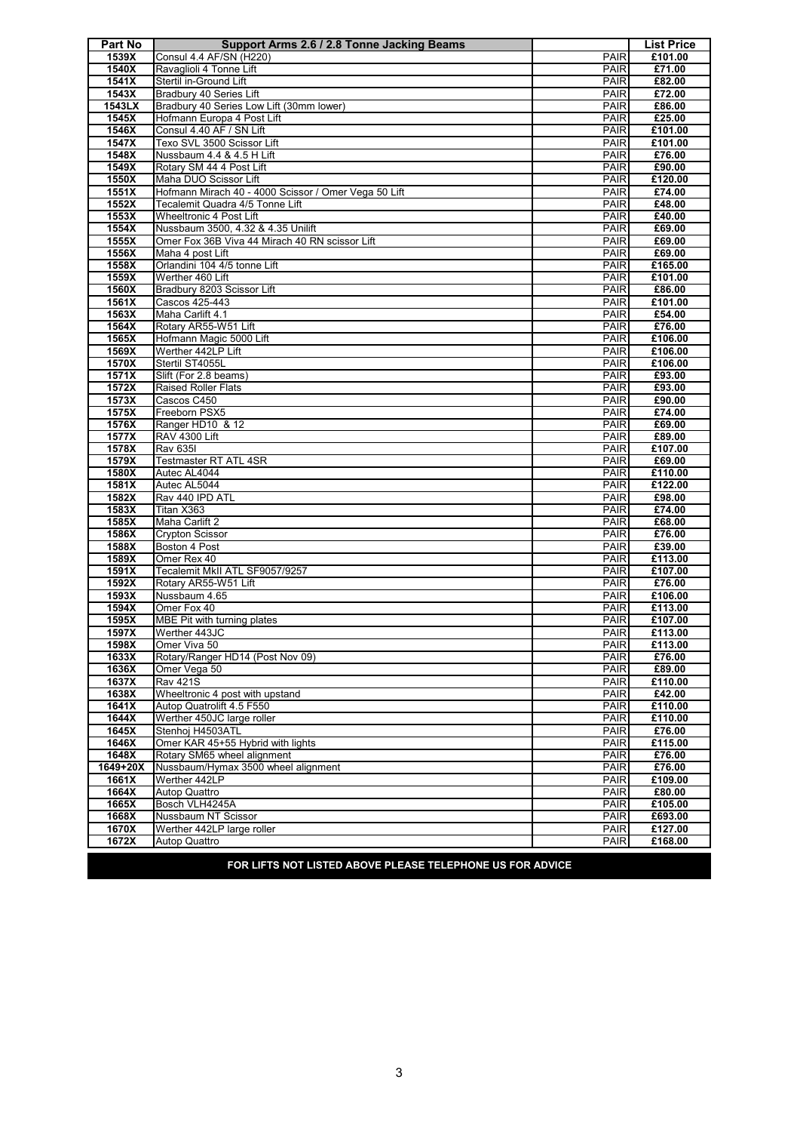| Part No           | Support Arms 2.6 / 2.8 Tonne Jacking Beams                                           |                            | <b>List Price</b>  |
|-------------------|--------------------------------------------------------------------------------------|----------------------------|--------------------|
| 1539X             | <b>Consul 4.4 AF/SN (H220)</b>                                                       | <b>PAIR</b>                | £101.00            |
| 1540X             | Ravaglioli 4 Tonne Lift                                                              | <b>PAIR</b>                | £71.00             |
| 1541X             | Stertil in-Ground Lift                                                               | <b>PAIR</b>                | £82.00             |
| 1543X             | Bradbury 40 Series Lift                                                              | <b>PAIR</b>                | £72.00             |
| 1543LX            | Bradbury 40 Series Low Lift (30mm lower)                                             | <b>PAIR</b>                | £86.00             |
| 1545X             | Hofmann Europa 4 Post Lift                                                           | <b>PAIR</b>                | £25.00             |
| 1546X             | Consul 4.40 AF / SN Lift                                                             | <b>PAIR</b>                | £101.00            |
| 1547X             | Texo SVL 3500 Scissor Lift                                                           | <b>PAIR</b>                | £101.00            |
| 1548X             | Nussbaum 4.4 & 4.5 H Lift                                                            | <b>PAIR</b>                | £76.00             |
| 1549X             | Rotary SM 44 4 Post Lift                                                             | <b>PAIR</b>                | £90.00             |
| 1550X             | Maha DUO Scissor Lift                                                                | <b>PAIR</b>                | £120.00            |
| 1551X             | Hofmann Mirach 40 - 4000 Scissor / Omer Vega 50 Lift                                 | <b>PAIR</b>                | £74.00             |
| 1552X             | Tecalemit Quadra 4/5 Tonne Lift                                                      | <b>PAIR</b>                | £48.00             |
| 1553X             | Wheeltronic 4 Post Lift                                                              | <b>PAIR</b>                | £40.00             |
| 1554X             | Nussbaum 3500, 4.32 & 4.35 Unilift<br>Omer Fox 36B Viva 44 Mirach 40 RN scissor Lift | <b>PAIR</b>                | £69.00             |
| 1555X             |                                                                                      | <b>PAIR</b><br><b>PAIR</b> | £69.00             |
| 1556X<br>1558X    | Maha 4 post Lift<br>Orlandini 104 4/5 tonne Lift                                     | <b>PAIR</b>                | £69.00<br>£165.00  |
| 1559X             | Werther 460 Lift                                                                     | <b>PAIR</b>                | £101.00            |
| 1560X             | Bradbury 8203 Scissor Lift                                                           | <b>PAIR</b>                | £86.00             |
| 1561X             | Cascos 425-443                                                                       | PAIR                       | £101.00            |
| 1563X             | Maha Carlift 4.1                                                                     | <b>PAIR</b>                | £54.00             |
| 1564X             | Rotary AR55-W51 Lift                                                                 | <b>PAIR</b>                | £76.00             |
| 1565X             | Hofmann Magic 5000 Lift                                                              | <b>PAIR</b>                | £106.00            |
| 1569X             | Werther 442LP Lift                                                                   | <b>PAIR</b>                | £106.00            |
| 1570X             | Stertil ST4055L                                                                      | <b>PAIR</b>                | £106.00            |
| 1571X             | Slift (For 2.8 beams)                                                                | PAIR                       | £93.00             |
| 1572X             | <b>Raised Roller Flats</b>                                                           | <b>PAIR</b>                | £93.00             |
| 1573X             | Cascos C450                                                                          | <b>PAIR</b>                | £90.00             |
| 1575X             | Freeborn PSX5                                                                        | <b>PAIR</b>                | £74.00             |
| 1576X             | Ranger HD10 & 12                                                                     | <b>PAIR</b>                | £69.00             |
| 1577X             | <b>RAV 4300 Lift</b>                                                                 | <b>PAIR</b>                | £89.00             |
| 1578X             | <b>Rav 635I</b>                                                                      | <b>PAIR</b>                | £107.00            |
| 1579X             | Testmaster RT ATL 4SR                                                                | <b>PAIR</b>                | £69.00             |
| 1580X             | Autec AL4044<br>Autec AL5044                                                         | <b>PAIR</b><br><b>PAIR</b> | £110.00<br>£122.00 |
| 1581X<br>1582X    | Rav 440 IPD ATL                                                                      | <b>PAIR</b>                | £98.00             |
| 1583X             | Titan X363                                                                           | <b>PAIR</b>                | £74.00             |
| 1585X             | Maha Carlift 2                                                                       | <b>PAIR</b>                | £68.00             |
| 1586X             | <b>Crypton Scissor</b>                                                               | <b>PAIR</b>                | £76.00             |
| 1588X             | Boston 4 Post                                                                        | <b>PAIR</b>                | £39.00             |
| 1589X             | Omer Rex 40                                                                          | <b>PAIR</b>                | £113.00            |
| 1591X             | Tecalemit MkII ATL SF9057/9257                                                       | <b>PAIR</b>                | £107.00            |
| 1592X             | Rotary AR55-W51 Lift                                                                 | <b>PAIR</b>                | £76.00             |
| 1593X             | Nussbaum 4.65                                                                        | <b>PAIR</b>                | £106.00            |
| 1594X             | Omer Fox 40                                                                          | <b>PAIR</b>                | £113.00            |
| 1595X             | MBE Pit with turning plates                                                          | <b>PAIR</b>                | £107.00            |
| 1597X             | Werther 443JC                                                                        | <b>PAIR</b>                | £113.00            |
| 1598X             | Omer Viva 50                                                                         | PAIR                       | £113.00            |
| 1633X             | Rotary/Ranger HD14 (Post Nov 09)                                                     | <b>PAIR</b>                | £76.00             |
| 1636X             | Omer Vega 50                                                                         | <b>PAIR</b>                | £89.00             |
| 1637X             | <b>Rav 421S</b>                                                                      | PAIR                       | £110.00            |
| 1638X             | Wheeltronic 4 post with upstand                                                      | PAIR                       | £42.00             |
| 1641X             | Autop Quatrolift 4.5 F550                                                            | <b>PAIR</b>                | £110.00            |
| 1644X             | Werther 450JC large roller                                                           | <b>PAIR</b>                | £110.00            |
| 1645X             | Stenhoj H4503ATL                                                                     | <b>PAIR</b>                | £76.00             |
| 1646X             | Omer KAR 45+55 Hybrid with lights                                                    | <b>PAIR</b>                | £115.00            |
| 1648X<br>1649+20X | Rotary SM65 wheel alignment<br>Nussbaum/Hymax 3500 wheel alignment                   | <b>PAIR</b><br><b>PAIR</b> | £76.00<br>£76.00   |
| 1661X             | Werther 442LP                                                                        | <b>PAIR</b>                | £109.00            |
| 1664X             | Autop Quattro                                                                        | <b>PAIR</b>                | £80.00             |
| 1665X             | Bosch VLH4245A                                                                       | <b>PAIR</b>                | £105.00            |
| 1668X             | Nussbaum NT Scissor                                                                  | <b>PAIR</b>                | £693.00            |
| 1670X             | Werther 442LP large roller                                                           | <b>PAIR</b>                | £127.00            |
| 1672X             | <b>Autop Quattro</b>                                                                 | <b>PAIR</b>                | £168.00            |
|                   |                                                                                      |                            |                    |

**FOR LIFTS NOT LISTED ABOVE PLEASE TELEPHONE US FOR ADVICE**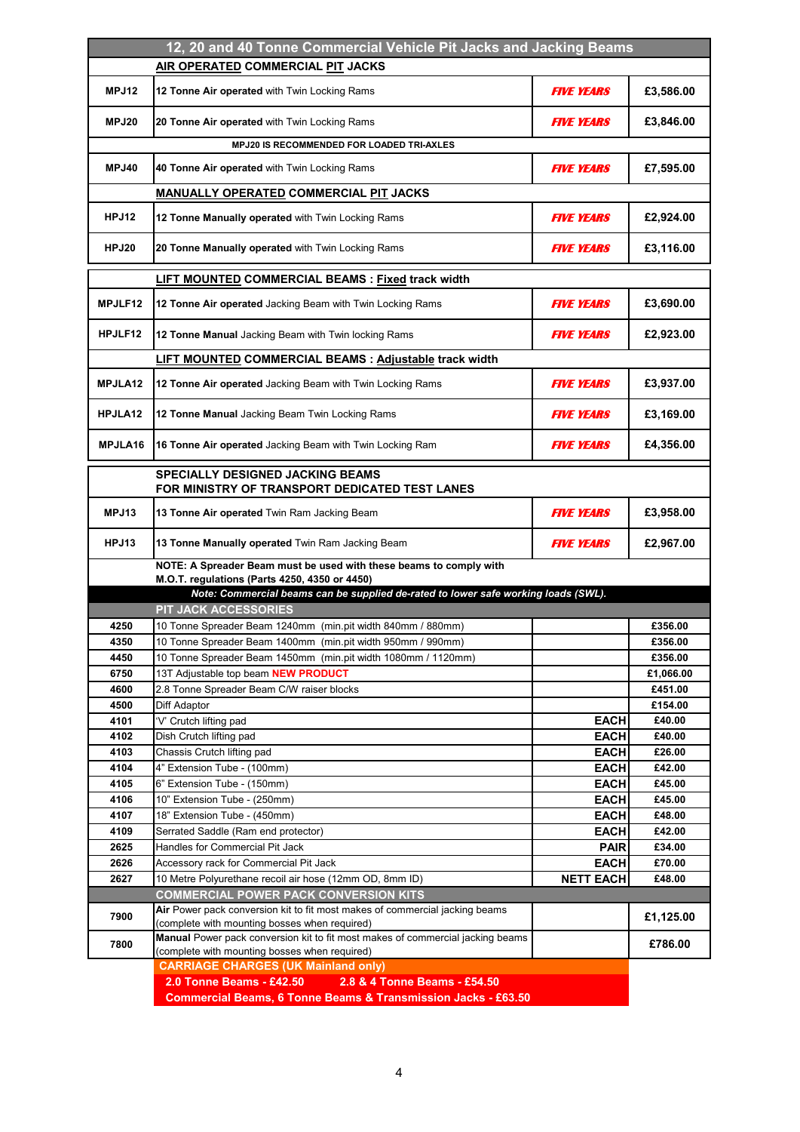| 12, 20 and 40 Tonne Commercial Vehicle Pit Jacks and Jacking Beams                        |                                                                                                                                     |                                 |                  |
|-------------------------------------------------------------------------------------------|-------------------------------------------------------------------------------------------------------------------------------------|---------------------------------|------------------|
| AIR OPERATED COMMERCIAL PIT JACKS                                                         |                                                                                                                                     |                                 |                  |
| MPJ12                                                                                     | 12 Tonne Air operated with Twin Locking Rams                                                                                        | <b>FIVE YEARS</b>               | £3,586.00        |
| MPJ20                                                                                     | 20 Tonne Air operated with Twin Locking Rams                                                                                        | <b>FIVE YEARS</b>               | £3,846.00        |
|                                                                                           | <b>MPJ20 IS RECOMMENDED FOR LOADED TRI-AXLES</b>                                                                                    |                                 |                  |
| MPJ40                                                                                     | 40 Tonne Air operated with Twin Locking Rams                                                                                        | <b>FIVE YEARS</b>               | £7,595.00        |
|                                                                                           | <b>MANUALLY OPERATED COMMERCIAL PIT JACKS</b>                                                                                       |                                 |                  |
| <b>HPJ12</b>                                                                              | 12 Tonne Manually operated with Twin Locking Rams                                                                                   | <b>FIVE YEARS</b>               | £2,924.00        |
| HPJ20                                                                                     | 20 Tonne Manually operated with Twin Locking Rams                                                                                   | <b>FIVE YEARS</b>               | £3,116.00        |
|                                                                                           | LIFT MOUNTED COMMERCIAL BEAMS : Fixed track width                                                                                   |                                 |                  |
| <b>MPJLF12</b>                                                                            | 12 Tonne Air operated Jacking Beam with Twin Locking Rams                                                                           | <b>FIVE YEARS</b>               | £3,690.00        |
| HPJLF12                                                                                   | 12 Tonne Manual Jacking Beam with Twin locking Rams                                                                                 | <b>FIVE YEARS</b>               | £2,923.00        |
|                                                                                           | <b>LIFT MOUNTED COMMERCIAL BEAMS : Adjustable track width</b>                                                                       |                                 |                  |
| MPJLA12                                                                                   | 12 Tonne Air operated Jacking Beam with Twin Locking Rams                                                                           | <b>FIVE YEARS</b>               | £3,937.00        |
| HPJLA12                                                                                   | 12 Tonne Manual Jacking Beam Twin Locking Rams                                                                                      | <b>FIVE YEARS</b>               | £3,169.00        |
| MPJLA16                                                                                   | 16 Tonne Air operated Jacking Beam with Twin Locking Ram                                                                            | <i><b>FIVE YEARS</b></i>        | £4,356.00        |
| <b>SPECIALLY DESIGNED JACKING BEAMS</b><br>FOR MINISTRY OF TRANSPORT DEDICATED TEST LANES |                                                                                                                                     |                                 |                  |
| MPJ13                                                                                     | 13 Tonne Air operated Twin Ram Jacking Beam                                                                                         | <b>FIVE YEARS</b>               | £3,958.00        |
| HPJ13                                                                                     | 13 Tonne Manually operated Twin Ram Jacking Beam                                                                                    | <i><b>FIVE YEARS</b></i>        | £2,967.00        |
|                                                                                           | NOTE: A Spreader Beam must be used with these beams to comply with                                                                  |                                 |                  |
|                                                                                           | M.O.T. regulations (Parts 4250, 4350 or 4450)<br>Note: Commercial beams can be supplied de-rated to lower safe working loads (SWL). |                                 |                  |
|                                                                                           | PIT JACK ACCESSORIES                                                                                                                |                                 |                  |
| 4250                                                                                      | 10 Tonne Spreader Beam 1240mm (min.pit width 840mm / 880mm)                                                                         |                                 | £356.00          |
| 4350                                                                                      | 10 Tonne Spreader Beam 1400mm (min.pit width 950mm / 990mm)                                                                         |                                 | £356.00          |
| 4450                                                                                      | 10 Tonne Spreader Beam 1450mm (min.pit width 1080mm / 1120mm)                                                                       |                                 | £356.00          |
| 6750                                                                                      | 13T Adjustable top beam NEW PRODUCT                                                                                                 |                                 | £1,066.00        |
| 4600                                                                                      | 2.8 Tonne Spreader Beam C/W raiser blocks                                                                                           |                                 | £451.00          |
| 4500                                                                                      | Diff Adaptor                                                                                                                        |                                 | £154.00          |
| 4101                                                                                      | 'V' Crutch lifting pad                                                                                                              | <b>EACH</b>                     | £40.00           |
| 4102                                                                                      | Dish Crutch lifting pad                                                                                                             | <b>EACH</b>                     | £40.00           |
| 4103                                                                                      | Chassis Crutch lifting pad                                                                                                          | <b>EACH</b>                     | £26.00           |
| 4104                                                                                      | 4" Extension Tube - (100mm)                                                                                                         | <b>EACH</b>                     | £42.00           |
| 4105                                                                                      | 6" Extension Tube - (150mm)                                                                                                         | <b>EACH</b>                     | £45.00           |
| 4106                                                                                      | 10" Extension Tube - (250mm)                                                                                                        | <b>EACH</b>                     | £45.00           |
| 4107                                                                                      | 18" Extension Tube - (450mm)                                                                                                        | <b>EACH</b>                     | £48.00           |
| 4109                                                                                      | Serrated Saddle (Ram end protector)                                                                                                 | <b>EACH</b>                     | £42.00           |
| 2625                                                                                      | Handles for Commercial Pit Jack                                                                                                     | <b>PAIR</b>                     | £34.00           |
| 2626<br>2627                                                                              | Accessory rack for Commercial Pit Jack<br>10 Metre Polyurethane recoil air hose (12mm OD, 8mm ID)                                   | <b>EACH</b><br><b>NETT EACH</b> | £70.00<br>£48.00 |
|                                                                                           | <b>COMMERCIAL POWER PACK CONVERSION KITS</b>                                                                                        |                                 |                  |
|                                                                                           | Air Power pack conversion kit to fit most makes of commercial jacking beams                                                         |                                 |                  |
| 7900                                                                                      | (complete with mounting bosses when required)                                                                                       |                                 | £1,125.00        |
| 7800                                                                                      | Manual Power pack conversion kit to fit most makes of commercial jacking beams<br>(complete with mounting bosses when required)     |                                 | £786.00          |
|                                                                                           | <b>CARRIAGE CHARGES (UK Mainland only)</b>                                                                                          |                                 |                  |
|                                                                                           | 2.0 Tonne Beams - £42.50<br>2.8 & 4 Tonne Beams - £54.50                                                                            |                                 |                  |
|                                                                                           | <b>Commercial Beams, 6 Tonne Beams &amp; Transmission Jacks - £63.50</b>                                                            |                                 |                  |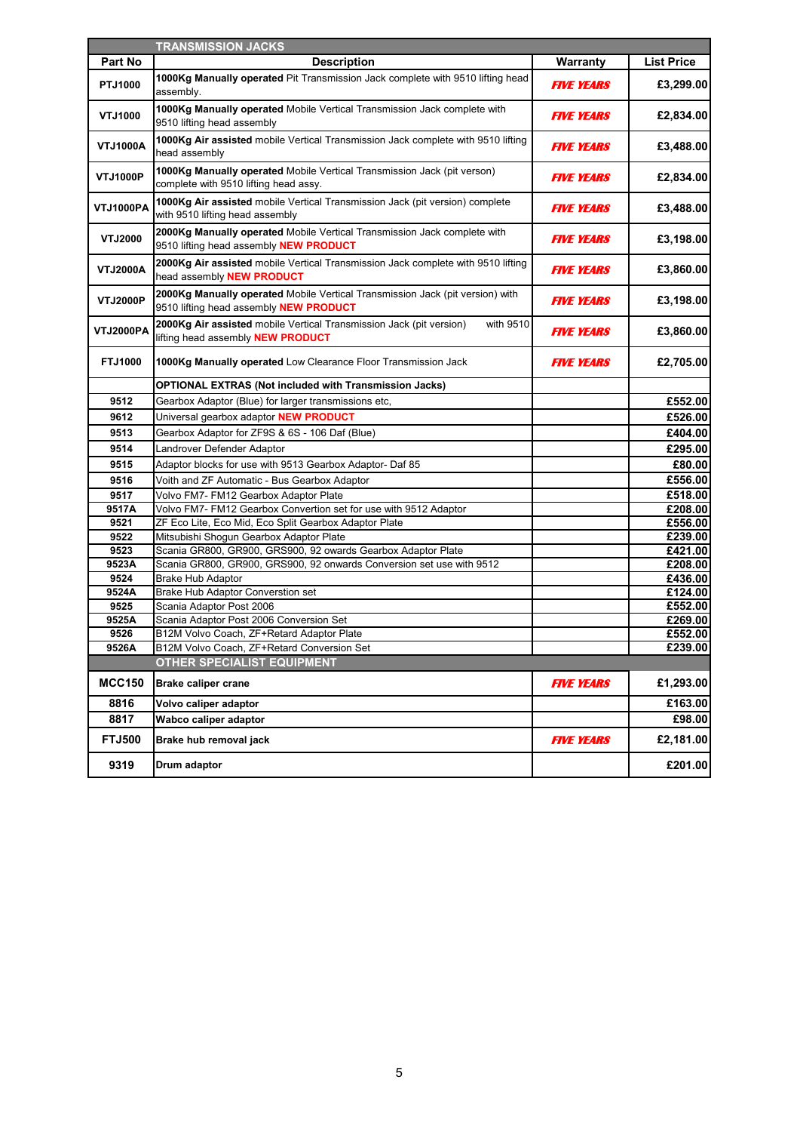|                 | <b>TRANSMISSION JACKS</b>                                                                                                    |                          |                             |
|-----------------|------------------------------------------------------------------------------------------------------------------------------|--------------------------|-----------------------------|
| Part No         | <b>Description</b>                                                                                                           | Warranty                 | <b>List Price</b>           |
| PTJ1000         | 1000Kg Manually operated Pit Transmission Jack complete with 9510 lifting head<br>assembly.                                  | <b>FIVE YEARS</b>        | £3,299.00                   |
| VTJ1000         | 1000Kg Manually operated Mobile Vertical Transmission Jack complete with<br>9510 lifting head assembly                       | <b>FIVE YEARS</b>        | £2,834.00                   |
| <b>VTJ1000A</b> | <b>1000Kg Air assisted</b> mobile Vertical Transmission Jack complete with 9510 lifting<br>head assembly                     | <b>FIVE YEARS</b>        | £3,488.00                   |
| <b>VTJ1000P</b> | 1000Kg Manually operated Mobile Vertical Transmission Jack (pit verson)<br>complete with 9510 lifting head assy.             | <b>FIVE YEARS</b>        | £2,834.00                   |
| VTJ1000PA       | 1000Kg Air assisted mobile Vertical Transmission Jack (pit version) complete<br>with 9510 lifting head assembly              | <b>FIVE YEARS</b>        | £3,488.00                   |
| VTJ2000         | 2000Kg Manually operated Mobile Vertical Transmission Jack complete with<br>9510 lifting head assembly NEW PRODUCT           | <i><b>FIVE YEARS</b></i> | £3,198.00                   |
| <b>VTJ2000A</b> | 2000Kg Air assisted mobile Vertical Transmission Jack complete with 9510 lifting<br>head assembly <b>NEW PRODUCT</b>         | <i><b>FIVE YEARS</b></i> | £3,860.00                   |
| <b>VTJ2000P</b> | 2000Kg Manually operated Mobile Vertical Transmission Jack (pit version) with<br>9510 lifting head assembly NEW PRODUCT      | <b>FIVE YEARS</b>        | £3,198.00                   |
| VTJ2000PA       | 2000Kg Air assisted mobile Vertical Transmission Jack (pit version)<br>with 9510<br>lifting head assembly <b>NEW PRODUCT</b> | <b>FIVE YEARS</b>        | £3,860.00                   |
| <b>FTJ1000</b>  | 1000Kg Manually operated Low Clearance Floor Transmission Jack                                                               | <b>FIVE YEARS</b>        | £2,705.00                   |
|                 | <b>OPTIONAL EXTRAS (Not included with Transmission Jacks)</b>                                                                |                          |                             |
| 9512            | Gearbox Adaptor (Blue) for larger transmissions etc,                                                                         |                          | £552.00                     |
| 9612            | Universal gearbox adaptor NEW PRODUCT                                                                                        |                          | £526.00                     |
| 9513            | Gearbox Adaptor for ZF9S & 6S - 106 Daf (Blue)                                                                               |                          | £404.00                     |
| 9514            | Landrover Defender Adaptor                                                                                                   |                          | £295.00                     |
| 9515            | Adaptor blocks for use with 9513 Gearbox Adaptor- Daf 85                                                                     |                          | £80.00                      |
| 9516            | Voith and ZF Automatic - Bus Gearbox Adaptor                                                                                 |                          | £556.00                     |
| 9517            | Volvo FM7- FM12 Gearbox Adaptor Plate                                                                                        |                          | £518.00                     |
| 9517A           | Volvo FM7- FM12 Gearbox Convertion set for use with 9512 Adaptor                                                             |                          | £208.00                     |
| 9521            | ZF Eco Lite, Eco Mid, Eco Split Gearbox Adaptor Plate                                                                        |                          | £556.00                     |
| 9522            | Mitsubishi Shogun Gearbox Adaptor Plate                                                                                      |                          | £239.00                     |
| 9523            | Scania GR800, GR900, GRS900, 92 owards Gearbox Adaptor Plate                                                                 |                          | £421.00                     |
| 9523A           | Scania GR800, GR900, GRS900, 92 onwards Conversion set use with 9512                                                         |                          | £208.00                     |
| 9524            | <b>Brake Hub Adaptor</b>                                                                                                     |                          | £436.00                     |
| 9524A           | Brake Hub Adaptor Converstion set                                                                                            |                          | $\overline{£124.00}$        |
| 9525            | Scania Adaptor Post 2006                                                                                                     |                          | £552.00                     |
| 9525A           | Scania Adaptor Post 2006 Conversion Set                                                                                      |                          | $\overline{\text{£}269.00}$ |
| 9526            | B12M Volvo Coach, ZF+Retard Adaptor Plate                                                                                    |                          | £552.00                     |
| 9526A           | B12M Volvo Coach, ZF+Retard Conversion Set                                                                                   |                          | £239.00                     |
| <b>MCC150</b>   | <b>OTHER SPECIALIST EQUIPMENT</b><br><b>Brake caliper crane</b>                                                              | <b>FIVE YEARS</b>        | £1,293.00                   |
| 8816            | Volvo caliper adaptor                                                                                                        |                          | £163.00                     |
| 8817            | Wabco caliper adaptor                                                                                                        |                          | £98.00                      |
| <b>FTJ500</b>   | Brake hub removal jack                                                                                                       | <b>FIVE YEARS</b>        | £2,181.00                   |
| 9319            | Drum adaptor                                                                                                                 |                          | £201.00                     |